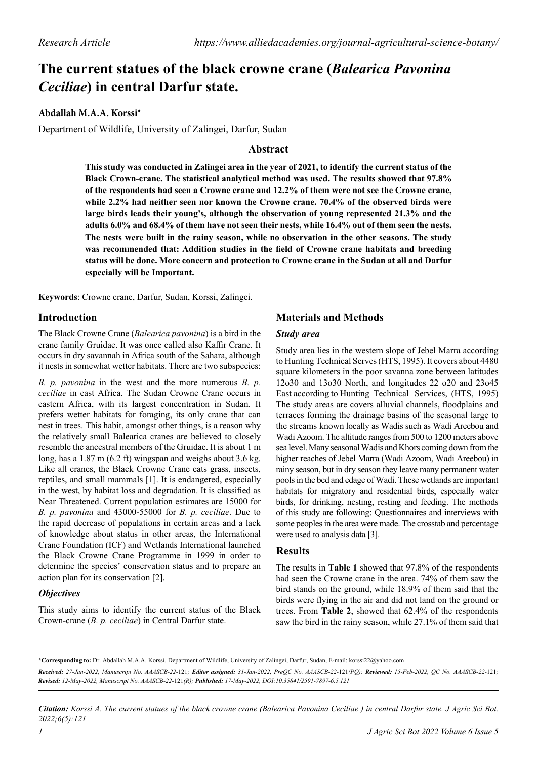# **The current statues of the black crowne crane (***Balearica Pavonina Ceciliae***) in central Darfur state.**

# **Abdallah M.A.A. Korssi\***

Department of Wildlife, University of Zalingei, Darfur, Sudan

# **Abstract**

**This study was conducted in Zalingei area in the year of 2021, to identify the current status of the Black Crown-crane. The statistical analytical method was used. The results showed that 97.8% of the respondents had seen a Crowne crane and 12.2% of them were not see the Crowne crane, while 2.2% had neither seen nor known the Crowne crane. 70.4% of the observed birds were large birds leads their young's, although the observation of young represented 21.3% and the adults 6.0% and 68.4% of them have not seen their nests, while 16.4% out of them seen the nests. The nests were built in the rainy season, while no observation in the other seasons. The study was recommended that: Addition studies in the field of Crowne crane habitats and breeding status will be done. More concern and protection to Crowne crane in the Sudan at all and Darfur especially will be Important.**

**Keywords**: Crowne crane, Darfur, Sudan, Korssi, Zalingei.

## **Introduction**

The Black Crowne Crane (*Balearica pavonina*) is a bird in the crane family Gruidae. It was once called also Kaffir Crane. It occurs in dry savannah in Africa south of the Sahara, although it nests in somewhat wetter habitats. There are two subspecies:

*B. p. pavonina* in the west and the more numerous *B. p. ceciliae* in east Africa. The Sudan Crowne Crane occurs in eastern Africa, with its largest concentration in Sudan. It prefers wetter habitats for foraging, its only crane that can nest in trees. This habit, amongst other things, is a reason why the relatively small Balearica cranes are believed to closely resemble the ancestral members of the Gruidae. It is about 1 m long, has a 1.87 m (6.2 ft) wingspan and weighs about 3.6 kg. Like all cranes, the Black Crowne Crane eats grass, insects, reptiles, and small mammals [1]. It is endangered, especially in the west, by habitat loss and degradation. It is classified as Near Threatened. Current population estimates are 15000 for *B. p. pavonina* and 43000-55000 for *B. p. ceciliae*. Due to the rapid decrease of populations in certain areas and a lack of knowledge about status in other areas, the International Crane Foundation (ICF) and Wetlands International launched the Black Crowne Crane Programme in 1999 in order to determine the species' conservation status and to prepare an action plan for its conservation [2].

# *Objectives*

This study aims to identify the current status of the Black Crown-crane (*B. p. ceciliae*) in Central Darfur state.

# **Materials and Methods**

#### *Study area*

Study area lies in the western slope of Jebel Marra according to Hunting Technical Serves (HTS, 1995). It covers about 4480 square kilometers in the poor savanna zone between latitudes 12o30 and 13o30 North, and longitudes 22 o20 and 23o45 East according to Hunting Technical Services, (HTS, 1995) The study areas are covers alluvial channels, floodplains and terraces forming the drainage basins of the seasonal large to the streams known locally as Wadis such as Wadi Areebou and Wadi Azoom. The altitude ranges from 500 to 1200 meters above sea level. Many seasonal Wadis and Khors coming down from the higher reaches of Jebel Marra (Wadi Azoom, Wadi Areebou) in rainy season, but in dry season they leave many permanent water pools in the bed and edage of Wadi. These wetlands are important habitats for migratory and residential birds, especially water birds, for drinking, nesting, resting and feeding. The methods of this study are following: Questionnaires and interviews with some peoples in the area were made. The crosstab and percentage were used to analysis data [3].

#### **Results**

The results in **Table 1** showed that 97.8% of the respondents had seen the Crowne crane in the area. 74% of them saw the bird stands on the ground, while 18.9% of them said that the birds were flying in the air and did not land on the ground or trees. From **Table 2**, showed that 62.4% of the respondents saw the bird in the rainy season, while 27.1% of them said that

*Citation: Korssi A. The current statues of the black crowne crane (Balearica Pavonina Ceciliae ) in central Darfur state. J Agric Sci Bot. 2022;6(5):121*

**<sup>\*</sup>Corresponding to:** Dr. Abdallah M.A.A. Korssi, Department of Wildlife, University of Zalingei, Darfur, Sudan, E-mail: korssi22@yahoo.com

*Received: 27-Jan-2022, Manuscript No. AAASCB-22-*121*; Editor assigned: 31-Jan-2022, PreQC No. AAASCB-22-*121*(PQ); Reviewed: 15-Feb-2022, QC No. AAASCB-22-*121*; Revised: 12-May-2022, Manuscript No. AAASCB-22-*121*(R); Published: 17-May-2022, DOI:10.35841/2591-7897-6.5.121*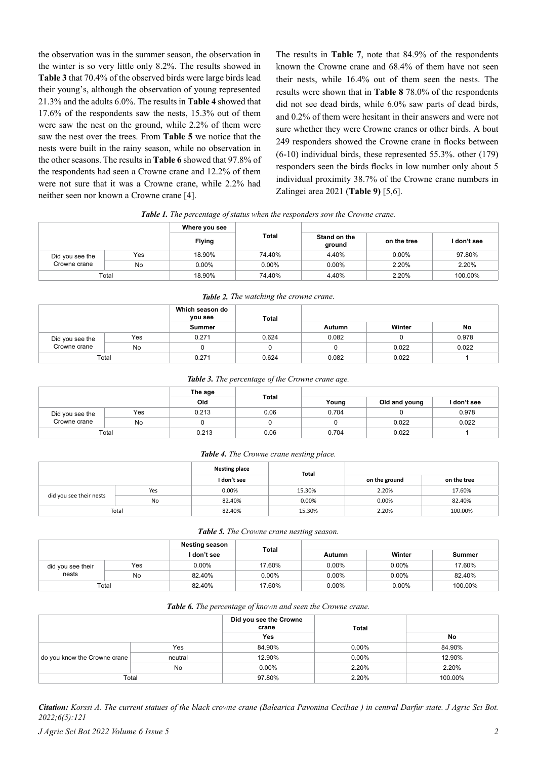the observation was in the summer season, the observation in the winter is so very little only 8.2%. The results showed in **Table 3** that 70.4% of the observed birds were large birds lead their young's, although the observation of young represented 21.3% and the adults 6.0%. The results in **Table 4** showed that 17.6% of the respondents saw the nests, 15.3% out of them were saw the nest on the ground, while 2.2% of them were saw the nest over the trees. From **Table 5** we notice that the nests were built in the rainy season, while no observation in the other seasons. The results in **Table 6** showed that 97.8% of the respondents had seen a Crowne crane and 12.2% of them were not sure that it was a Crowne crane, while 2.2% had neither seen nor known a Crowne crane [4].

The results in **Table 7**, note that 84.9% of the respondents known the Crowne crane and 68.4% of them have not seen their nests, while 16.4% out of them seen the nests. The results were shown that in **Table 8** 78.0% of the respondents did not see dead birds, while 6.0% saw parts of dead birds, and 0.2% of them were hesitant in their answers and were not sure whether they were Crowne cranes or other birds. A bout 249 responders showed the Crowne crane in flocks between (6-10) individual birds, these represented 55.3%. other (179) responders seen the birds flocks in low number only about 5 individual proximity 38.7% of the Crowne crane numbers in Zalingei area 2021 (**Table 9)** [5,6].

*Table 1. The percentage of status when the responders sow the Crowne crane.*

|                 |     | Where you see | Total    |                        |             |           |
|-----------------|-----|---------------|----------|------------------------|-------------|-----------|
|                 |     | <b>Flying</b> |          | Stand on the<br>ground | on the tree | don't see |
| Did you see the | Yes | 18.90%        | 74.40%   | 4.40%                  | $0.00\%$    | 97.80%    |
| Crowne crane    | No  | $0.00\%$      | $0.00\%$ | 0.00%                  | 2.20%       | 2.20%     |
| Total           |     | 18.90%        | 74.40%   | 4.40%                  | 2.20%       | 100.00%   |

| <b>Tuble 2.</b> The wallming the crowne crune. |     |                            |       |               |        |       |  |  |
|------------------------------------------------|-----|----------------------------|-------|---------------|--------|-------|--|--|
|                                                |     | Which season do<br>you see | Total |               |        |       |  |  |
|                                                |     | Summer                     |       | <b>Autumn</b> | Winter | No    |  |  |
| Did you see the                                | Yes | 0.271                      | 0.624 | 0.082         |        | 0.978 |  |  |
| Crowne crane                                   | No  |                            |       |               | 0.022  | 0.022 |  |  |
| Total                                          |     | 0.271                      | 0.624 | 0.082         | 0.022  |       |  |  |

*Table 2. The watching the crowne crane*.

*Table 3. The percentage of the Crowne crane age.*

|                                 | The age |       | Total |       |               |             |
|---------------------------------|---------|-------|-------|-------|---------------|-------------|
|                                 |         | Old   |       | Young | Old and young | I don't see |
| Did you see the<br>Crowne crane | Yes     | 0.213 | 0.06  | 0.704 |               | 0.978       |
|                                 | No      |       |       |       | 0.022         | 0.022       |
| Total                           |         | 0.213 | 0.06  | 0.704 | 0.022         |             |

#### *Table 4. The Crowne crane nesting place.*

|                         |     | <b>Nesting place</b> | Total  |               |             |
|-------------------------|-----|----------------------|--------|---------------|-------------|
|                         |     | I don't see          |        | on the ground | on the tree |
| did you see their nests | Yes | 0.00%                | 15.30% | 2.20%         | 17.60%      |
|                         | No  | 82.40%               | 0.00%  | 0.00%         | 82.40%      |
| Total                   |     | 82.40%               | 15.30% | 2.20%         | 100.00%     |

|                            |     | <b>Nesting season</b> |          |          |          |         |
|----------------------------|-----|-----------------------|----------|----------|----------|---------|
|                            |     | I don't see           | Total    | Autumn   | Winter   | Summer  |
| did you see their<br>nests | Yes | $0.00\%$              | 17.60%   | 0.00%    | $0.00\%$ | 17.60%  |
|                            | No  | 82.40%                | $0.00\%$ | 0.00%    | 0.00%    | 82.40%  |
| Total                      |     | 82.40%                | 17.60%   | $0.00\%$ | $0.00\%$ | 100.00% |

#### *Table 6. The percentage of known and seen the Crowne crane.*

|                              |         | Did you see the Crowne<br>crane | <b>Total</b> |         |
|------------------------------|---------|---------------------------------|--------------|---------|
|                              |         | Yes                             |              | No      |
| do you know the Crowne crane | Yes     | 84.90%                          | $0.00\%$     | 84.90%  |
|                              | neutral | 12.90%                          | $0.00\%$     | 12.90%  |
|                              | No      | $0.00\%$                        | 2.20%        | 2.20%   |
| Total                        |         | 97.80%                          | 2.20%        | 100.00% |

*Citation: Korssi A. The current statues of the black crowne crane (Balearica Pavonina Ceciliae ) in central Darfur state. J Agric Sci Bot. 2022;6(5):121*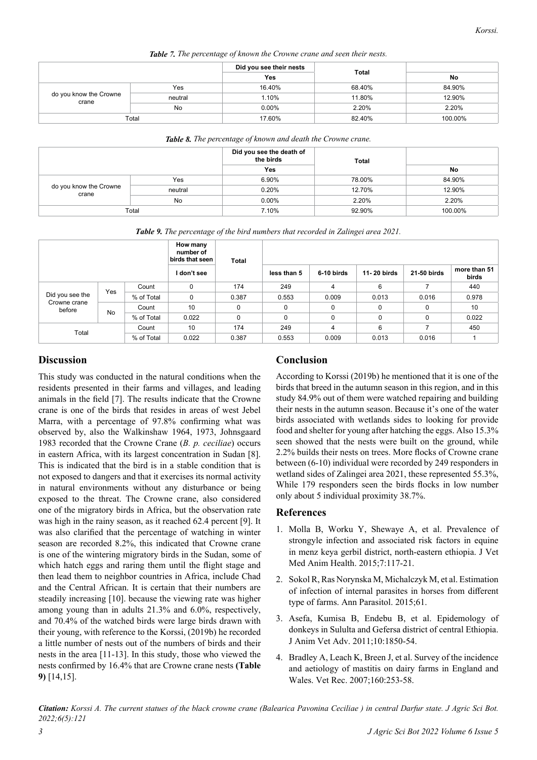| <b>Table 7.</b> The percentage of known the Crowne crane and seen their nests. |         |          |        |         |  |  |  |
|--------------------------------------------------------------------------------|---------|----------|--------|---------|--|--|--|
|                                                                                |         |          |        |         |  |  |  |
|                                                                                |         |          | Total  | No      |  |  |  |
| do you know the Crowne<br>crane                                                | Yes     | 16.40%   | 68.40% | 84.90%  |  |  |  |
|                                                                                | neutral | 1.10%    | 11.80% | 12.90%  |  |  |  |
|                                                                                | No      | $0.00\%$ | 2.20%  | 2.20%   |  |  |  |
| Total                                                                          |         | 17.60%   | 82.40% | 100.00% |  |  |  |

|                                 |         | Did you see the death of<br>the birds<br>Yes | <b>Total</b> | No      |
|---------------------------------|---------|----------------------------------------------|--------------|---------|
| do you know the Crowne<br>crane | Yes     | 6.90%                                        | 78.00%       | 84.90%  |
|                                 | neutral | 0.20%                                        | 12.70%       | 12.90%  |
|                                 | No      | $0.00\%$                                     | 2.20%        | 2.20%   |
| Total                           |         | 7.10%                                        | 92.90%       | 100.00% |

*Table 9. The percentage of the bird numbers that recorded in Zalingei area 2021.*

|                        |     |            | How many<br>number of<br>birds that seen | <b>Total</b> |             |                |             |             |                       |
|------------------------|-----|------------|------------------------------------------|--------------|-------------|----------------|-------------|-------------|-----------------------|
|                        |     |            | I don't see                              |              | less than 5 | 6-10 birds     | 11-20 birds | 21-50 birds | more than 51<br>birds |
|                        | Yes | Count      | 0                                        | 174          | 249         | 4              | 6           |             | 440                   |
| Did you see the        |     | % of Total | 0                                        | 0.387        | 0.553       | 0.009          | 0.013       | 0.016       | 0.978                 |
| Crowne crane<br>before | No  | Count      | 10                                       | 0            | 0           | $\mathbf 0$    | $\mathbf 0$ | 0           | 10                    |
|                        |     | % of Total | 0.022                                    | 0            | 0           | 0              | $\Omega$    | $\Omega$    | 0.022                 |
| Total                  |     | Count      | 10                                       | 174          | 249         | $\overline{4}$ | 6           |             | 450                   |
|                        |     | % of Total | 0.022                                    | 0.387        | 0.553       | 0.009          | 0.013       | 0.016       |                       |

## **Discussion**

This study was conducted in the natural conditions when the residents presented in their farms and villages, and leading animals in the field [7]. The results indicate that the Crowne crane is one of the birds that resides in areas of west Jebel Marra, with a percentage of 97.8% confirming what was observed by, also the Walkinshaw 1964, 1973, Johnsgaard 1983 recorded that the Crowne Crane (*B. p. ceciliae*) occurs in eastern Africa, with its largest concentration in Sudan [8]. This is indicated that the bird is in a stable condition that is not exposed to dangers and that it exercises its normal activity in natural environments without any disturbance or being exposed to the threat. The Crowne crane, also considered one of the migratory birds in Africa, but the observation rate was high in the rainy season, as it reached 62.4 percent [9]. It was also clarified that the percentage of watching in winter season are recorded 8.2%, this indicated that Crowne crane is one of the wintering migratory birds in the Sudan, some of which hatch eggs and raring them until the flight stage and then lead them to neighbor countries in Africa, include Chad and the Central African. It is certain that their numbers are steadily increasing [10]. because the viewing rate was higher among young than in adults 21.3% and 6.0%, respectively, and 70.4% of the watched birds were large birds drawn with their young, with reference to the Korssi, (2019b) he recorded a little number of nests out of the numbers of birds and their nests in the area [11-13]. In this study, those who viewed the nests confirmed by 16.4% that are Crowne crane nests **(Table 9)** [14,15].

# **Conclusion**

According to Korssi (2019b) he mentioned that it is one of the birds that breed in the autumn season in this region, and in this study 84.9% out of them were watched repairing and building their nests in the autumn season. Because it's one of the water birds associated with wetlands sides to looking for provide food and shelter for young after hatching the eggs. Also 15.3% seen showed that the nests were built on the ground, while 2.2% builds their nests on trees. More flocks of Crowne crane between (6-10) individual were recorded by 249 responders in wetland sides of Zalingei area 2021, these represented 55.3%, While 179 responders seen the birds flocks in low number only about 5 individual proximity 38.7%.

#### **References**

- 1. Molla B, Worku Y, Shewaye A, et al. [Prevalence of](https://academicjournals.org/journal/JVMAH/article-abstract/AC5A59351212)  [strongyle infection and associated risk factors in equine](https://academicjournals.org/journal/JVMAH/article-abstract/AC5A59351212)  [in menz keya gerbil district, north-eastern ethiopia.](https://academicjournals.org/journal/JVMAH/article-abstract/AC5A59351212) J Vet Med Anim Health. 2015;7:117-21.
- 2. Sokol R, Ras Norynska M, Michalczyk M, et al. [Estimation](https://agro.icm.edu.pl/agro/element/bwmeta1.element.agro-9fe79921-3f0c-48ac-b51b-09eada5bed36)  [of infection of internal parasites in horses from different](https://agro.icm.edu.pl/agro/element/bwmeta1.element.agro-9fe79921-3f0c-48ac-b51b-09eada5bed36)  [type of farms.](https://agro.icm.edu.pl/agro/element/bwmeta1.element.agro-9fe79921-3f0c-48ac-b51b-09eada5bed36) Ann Parasitol. 2015;61.
- 3. Asefa, Kumisa B, Endebu B, et al. Epidemology of donkeys in Sululta and Gefersa district of central Ethiopia. J Anim Vet Adv. 2011;10:1850-54.
- 4. Bradley A, Leach K, Breen J, et al. [Survey of the incidence](https://bvajournals.onlinelibrary.wiley.com/doi/abs/10.1136/vr.160.8.253)  [and aetiology of mastitis on dairy farms in England and](https://bvajournals.onlinelibrary.wiley.com/doi/abs/10.1136/vr.160.8.253)  [Wales.](https://bvajournals.onlinelibrary.wiley.com/doi/abs/10.1136/vr.160.8.253) Vet Rec. 2007;160:253-58.

*Citation: Korssi A. The current statues of the black crowne crane (Balearica Pavonina Ceciliae ) in central Darfur state. J Agric Sci Bot. 2022;6(5):121*